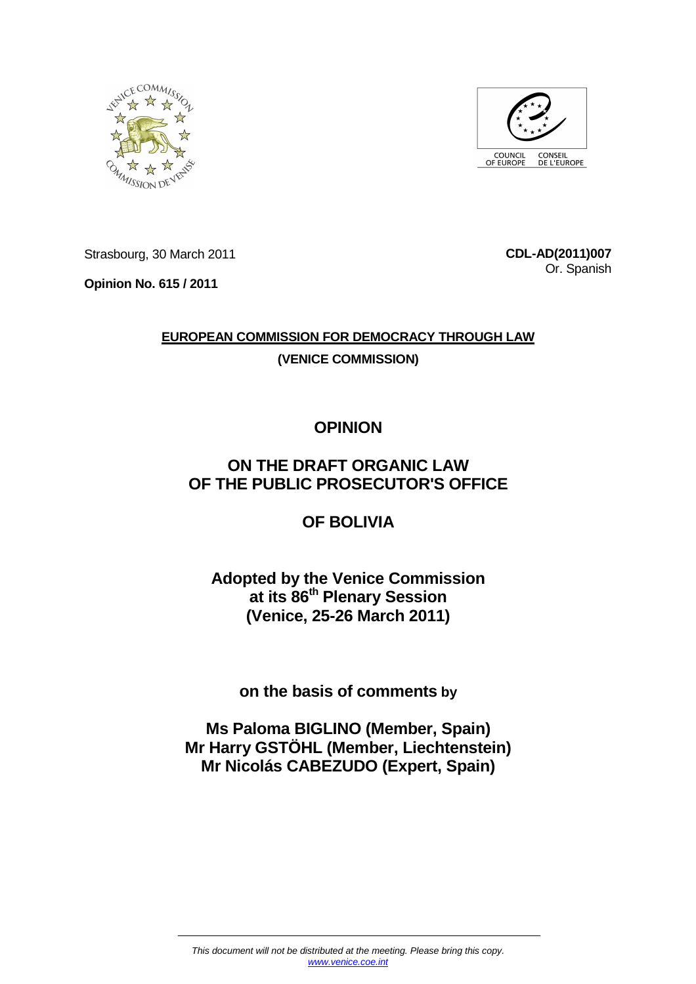



Strasbourg, 30 March 2011

**Opinion No. 615 / 2011** 

**CDL-AD(2011)007** Or. Spanish

# **EUROPEAN COMMISSION FOR DEMOCRACY THROUGH LAW (VENICE COMMISSION)**

# **OPINION**

## **ON THE DRAFT ORGANIC LAW OF THE PUBLIC PROSECUTOR'S OFFICE**

## **OF BOLIVIA**

## **Adopted by the Venice Commission at its 86th Plenary Session (Venice, 25-26 March 2011)**

**on the basis of comments by** 

**Ms Paloma BIGLINO (Member, Spain) Mr Harry GSTÖHL (Member, Liechtenstein) Mr Nicolás CABEZUDO (Expert, Spain)**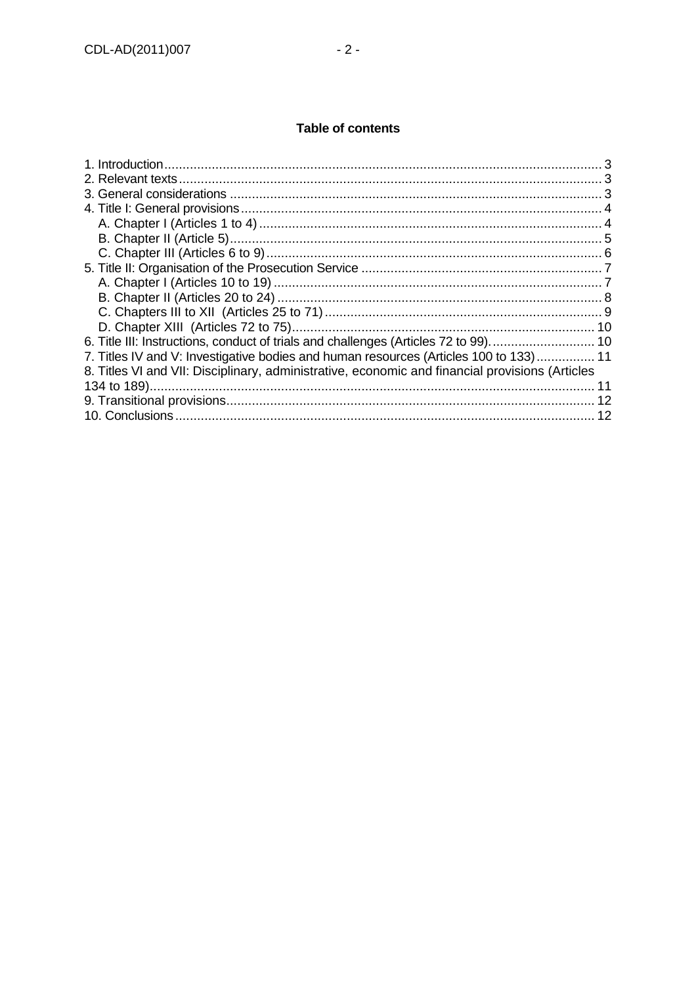## Table of contents

| 7. Titles IV and V: Investigative bodies and human resources (Articles 100 to 133) 11           |
|-------------------------------------------------------------------------------------------------|
| 8. Titles VI and VII: Disciplinary, administrative, economic and financial provisions (Articles |
|                                                                                                 |
|                                                                                                 |
| 12                                                                                              |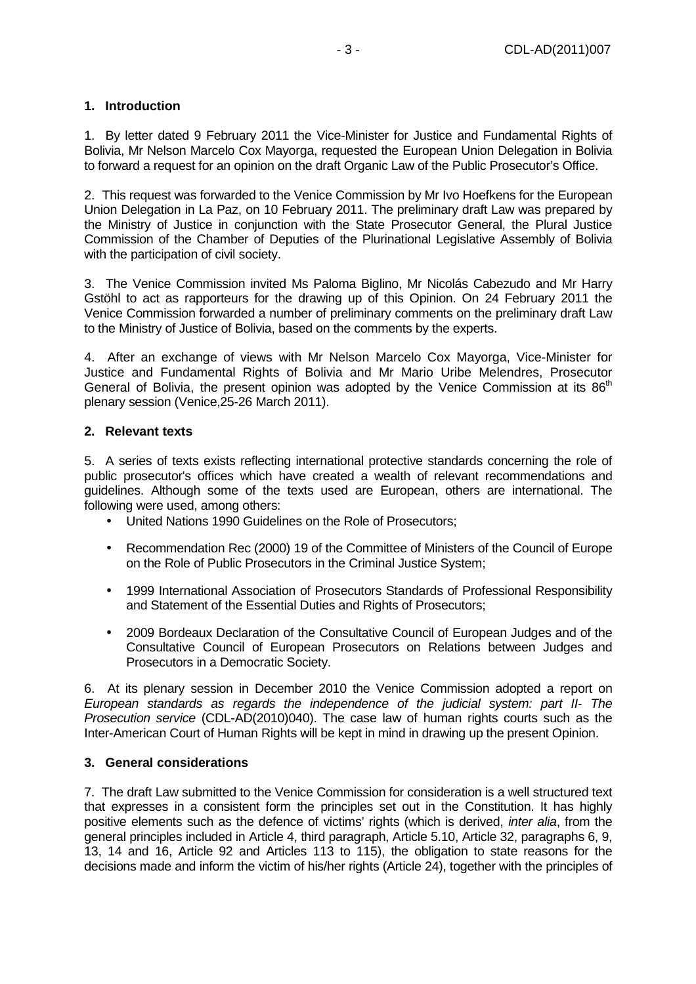## **1. Introduction**

1. By letter dated 9 February 2011 the Vice-Minister for Justice and Fundamental Rights of Bolivia, Mr Nelson Marcelo Cox Mayorga, requested the European Union Delegation in Bolivia to forward a request for an opinion on the draft Organic Law of the Public Prosecutor's Office.

2. This request was forwarded to the Venice Commission by Mr Ivo Hoefkens for the European Union Delegation in La Paz, on 10 February 2011. The preliminary draft Law was prepared by the Ministry of Justice in conjunction with the State Prosecutor General, the Plural Justice Commission of the Chamber of Deputies of the Plurinational Legislative Assembly of Bolivia with the participation of civil society.

3. The Venice Commission invited Ms Paloma Biglino, Mr Nicolás Cabezudo and Mr Harry Gstöhl to act as rapporteurs for the drawing up of this Opinion. On 24 February 2011 the Venice Commission forwarded a number of preliminary comments on the preliminary draft Law to the Ministry of Justice of Bolivia, based on the comments by the experts.

4. After an exchange of views with Mr Nelson Marcelo Cox Mayorga, Vice-Minister for Justice and Fundamental Rights of Bolivia and Mr Mario Uribe Melendres, Prosecutor General of Bolivia, the present opinion was adopted by the Venice Commission at its  $86<sup>th</sup>$ plenary session (Venice,25-26 March 2011).

## **2. Relevant texts**

5. A series of texts exists reflecting international protective standards concerning the role of public prosecutor's offices which have created a wealth of relevant recommendations and guidelines. Although some of the texts used are European, others are international. The following were used, among others:

- United Nations 1990 Guidelines on the Role of Prosecutors;
- Recommendation Rec (2000) 19 of the Committee of Ministers of the Council of Europe on the Role of Public Prosecutors in the Criminal Justice System;
- 1999 International Association of Prosecutors Standards of Professional Responsibility and Statement of the Essential Duties and Rights of Prosecutors;
- 2009 Bordeaux Declaration of the Consultative Council of European Judges and of the Consultative Council of European Prosecutors on Relations between Judges and Prosecutors in a Democratic Society.

6. At its plenary session in December 2010 the Venice Commission adopted a report on European standards as regards the independence of the judicial system: part II- The Prosecution service (CDL-AD(2010)040). The case law of human rights courts such as the Inter-American Court of Human Rights will be kept in mind in drawing up the present Opinion.

## **3. General considerations**

7. The draft Law submitted to the Venice Commission for consideration is a well structured text that expresses in a consistent form the principles set out in the Constitution. It has highly positive elements such as the defence of victims' rights (which is derived, inter alia, from the general principles included in Article 4, third paragraph, Article 5.10, Article 32, paragraphs 6, 9, 13, 14 and 16, Article 92 and Articles 113 to 115), the obligation to state reasons for the decisions made and inform the victim of his/her rights (Article 24), together with the principles of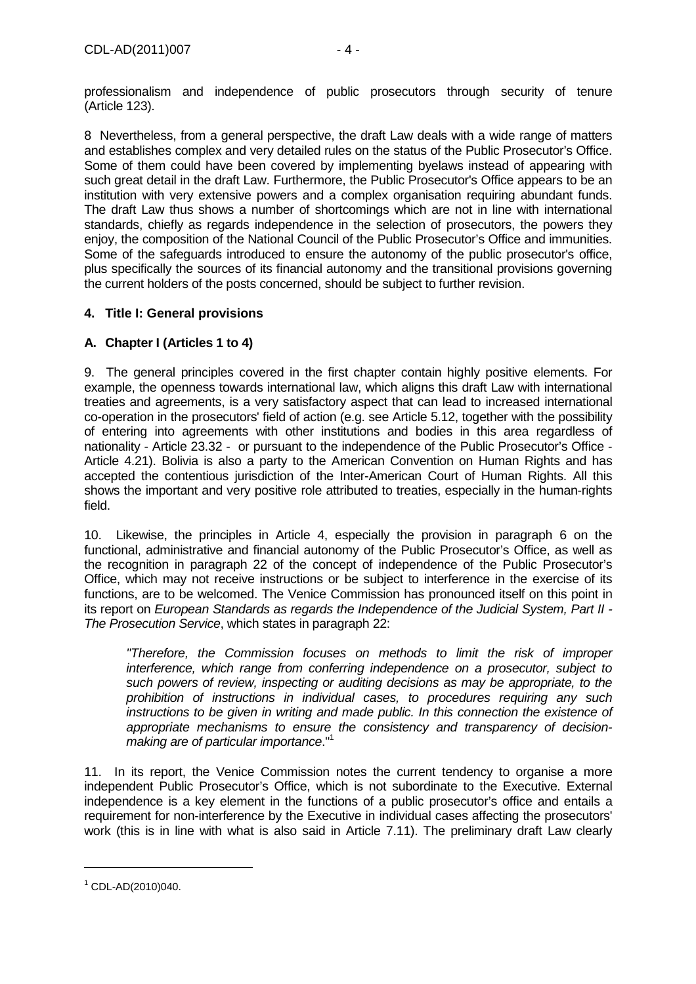professionalism and independence of public prosecutors through security of tenure (Article 123).

8 Nevertheless, from a general perspective, the draft Law deals with a wide range of matters and establishes complex and very detailed rules on the status of the Public Prosecutor's Office. Some of them could have been covered by implementing byelaws instead of appearing with such great detail in the draft Law. Furthermore, the Public Prosecutor's Office appears to be an institution with very extensive powers and a complex organisation requiring abundant funds. The draft Law thus shows a number of shortcomings which are not in line with international standards, chiefly as regards independence in the selection of prosecutors, the powers they enjoy, the composition of the National Council of the Public Prosecutor's Office and immunities. Some of the safeguards introduced to ensure the autonomy of the public prosecutor's office, plus specifically the sources of its financial autonomy and the transitional provisions governing the current holders of the posts concerned, should be subject to further revision.

## **4. Title I: General provisions**

## **A. Chapter I (Articles 1 to 4)**

9. The general principles covered in the first chapter contain highly positive elements. For example, the openness towards international law, which aligns this draft Law with international treaties and agreements, is a very satisfactory aspect that can lead to increased international co-operation in the prosecutors' field of action (e.g. see Article 5.12, together with the possibility of entering into agreements with other institutions and bodies in this area regardless of nationality - Article 23.32 - or pursuant to the independence of the Public Prosecutor's Office - Article 4.21). Bolivia is also a party to the American Convention on Human Rights and has accepted the contentious jurisdiction of the Inter-American Court of Human Rights. All this shows the important and very positive role attributed to treaties, especially in the human-rights field.

10. Likewise, the principles in Article 4, especially the provision in paragraph 6 on the functional, administrative and financial autonomy of the Public Prosecutor's Office, as well as the recognition in paragraph 22 of the concept of independence of the Public Prosecutor's Office, which may not receive instructions or be subject to interference in the exercise of its functions, are to be welcomed. The Venice Commission has pronounced itself on this point in its report on European Standards as regards the Independence of the Judicial System, Part II - The Prosecution Service, which states in paragraph 22:

"Therefore, the Commission focuses on methods to limit the risk of improper interference, which range from conferring independence on a prosecutor, subject to such powers of review, inspecting or auditing decisions as may be appropriate, to the prohibition of instructions in individual cases, to procedures requiring any such instructions to be given in writing and made public. In this connection the existence of appropriate mechanisms to ensure the consistency and transparency of decisionmaking are of particular importance."<sup>1</sup>

11. In its report, the Venice Commission notes the current tendency to organise a more independent Public Prosecutor's Office, which is not subordinate to the Executive. External independence is a key element in the functions of a public prosecutor's office and entails a requirement for non-interference by the Executive in individual cases affecting the prosecutors' work (this is in line with what is also said in Article 7.11). The preliminary draft Law clearly

 $\overline{a}$ 

<sup>1</sup> CDL-AD(2010)040.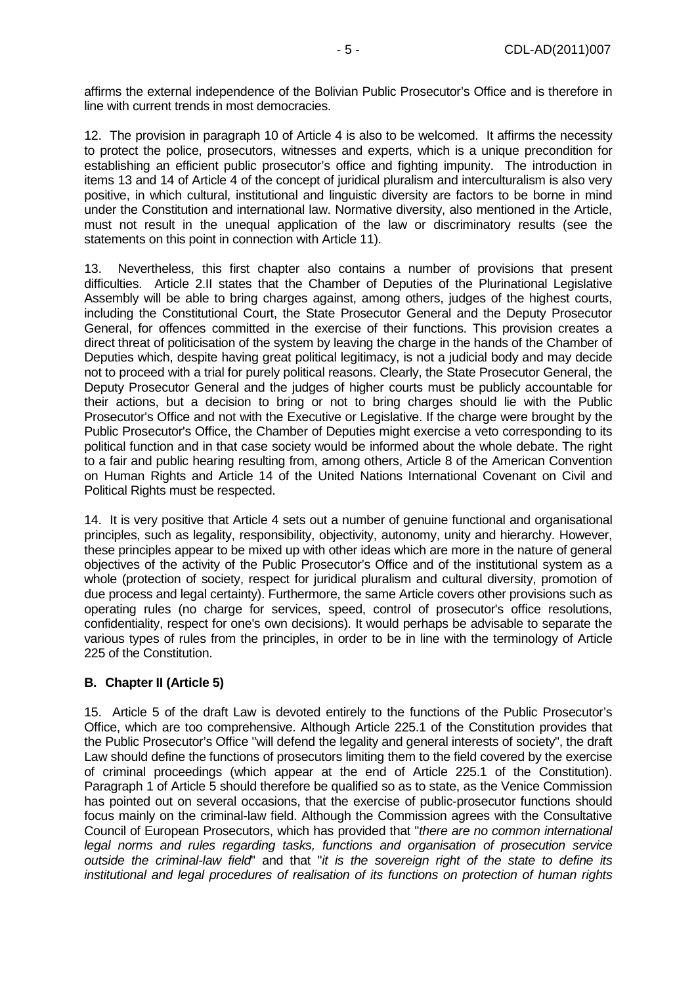affirms the external independence of the Bolivian Public Prosecutor's Office and is therefore in line with current trends in most democracies.

12. The provision in paragraph 10 of Article 4 is also to be welcomed. It affirms the necessity to protect the police, prosecutors, witnesses and experts, which is a unique precondition for establishing an efficient public prosecutor's office and fighting impunity. The introduction in items 13 and 14 of Article 4 of the concept of juridical pluralism and interculturalism is also very positive, in which cultural, institutional and linguistic diversity are factors to be borne in mind under the Constitution and international law. Normative diversity, also mentioned in the Article, must not result in the unequal application of the law or discriminatory results (see the statements on this point in connection with Article 11).

13. Nevertheless, this first chapter also contains a number of provisions that present difficulties. Article 2.II states that the Chamber of Deputies of the Plurinational Legislative Assembly will be able to bring charges against, among others, judges of the highest courts, including the Constitutional Court, the State Prosecutor General and the Deputy Prosecutor General, for offences committed in the exercise of their functions. This provision creates a direct threat of politicisation of the system by leaving the charge in the hands of the Chamber of Deputies which, despite having great political legitimacy, is not a judicial body and may decide not to proceed with a trial for purely political reasons. Clearly, the State Prosecutor General, the Deputy Prosecutor General and the judges of higher courts must be publicly accountable for their actions, but a decision to bring or not to bring charges should lie with the Public Prosecutor's Office and not with the Executive or Legislative. If the charge were brought by the Public Prosecutor's Office, the Chamber of Deputies might exercise a veto corresponding to its political function and in that case society would be informed about the whole debate. The right to a fair and public hearing resulting from, among others, Article 8 of the American Convention on Human Rights and Article 14 of the United Nations International Covenant on Civil and Political Rights must be respected.

14. It is very positive that Article 4 sets out a number of genuine functional and organisational principles, such as legality, responsibility, objectivity, autonomy, unity and hierarchy. However, these principles appear to be mixed up with other ideas which are more in the nature of general objectives of the activity of the Public Prosecutor's Office and of the institutional system as a whole (protection of society, respect for juridical pluralism and cultural diversity, promotion of due process and legal certainty). Furthermore, the same Article covers other provisions such as operating rules (no charge for services, speed, control of prosecutor's office resolutions, confidentiality, respect for one's own decisions). It would perhaps be advisable to separate the various types of rules from the principles, in order to be in line with the terminology of Article 225 of the Constitution.

## **B. Chapter II (Article 5)**

15. Article 5 of the draft Law is devoted entirely to the functions of the Public Prosecutor's Office, which are too comprehensive. Although Article 225.1 of the Constitution provides that the Public Prosecutor's Office "will defend the legality and general interests of society", the draft Law should define the functions of prosecutors limiting them to the field covered by the exercise of criminal proceedings (which appear at the end of Article 225.1 of the Constitution). Paragraph 1 of Article 5 should therefore be qualified so as to state, as the Venice Commission has pointed out on several occasions, that the exercise of public-prosecutor functions should focus mainly on the criminal-law field. Although the Commission agrees with the Consultative Council of European Prosecutors, which has provided that "there are no common international legal norms and rules regarding tasks, functions and organisation of prosecution service outside the criminal-law field" and that "it is the sovereign right of the state to define its institutional and legal procedures of realisation of its functions on protection of human rights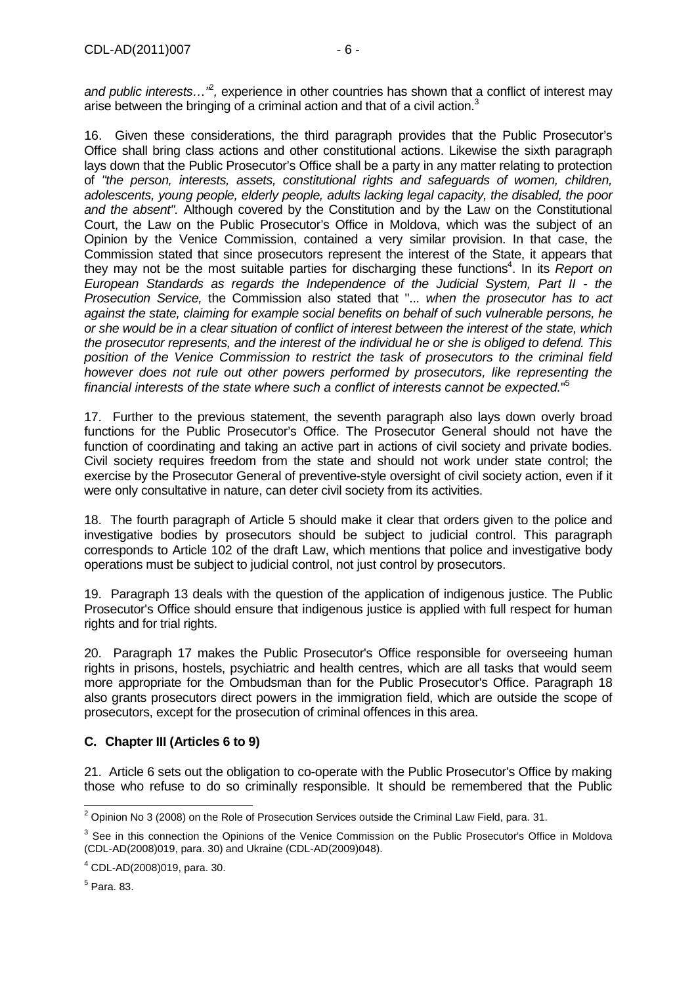and public interests... $i^2$ , experience in other countries has shown that a conflict of interest may arise between the bringing of a criminal action and that of a civil action.<sup>3</sup>

16. Given these considerations, the third paragraph provides that the Public Prosecutor's Office shall bring class actions and other constitutional actions. Likewise the sixth paragraph lays down that the Public Prosecutor's Office shall be a party in any matter relating to protection of "the person, interests, assets, constitutional rights and safeguards of women, children, adolescents, young people, elderly people, adults lacking legal capacity, the disabled, the poor and the absent". Although covered by the Constitution and by the Law on the Constitutional Court, the Law on the Public Prosecutor's Office in Moldova, which was the subject of an Opinion by the Venice Commission, contained a very similar provision. In that case, the Commission stated that since prosecutors represent the interest of the State, it appears that they may not be the most suitable parties for discharging these functions<sup>4</sup>. In its Report on European Standards as regards the Independence of the Judicial System, Part II - the Prosecution Service, the Commission also stated that "... when the prosecutor has to act against the state, claiming for example social benefits on behalf of such vulnerable persons, he or she would be in a clear situation of conflict of interest between the interest of the state, which the prosecutor represents, and the interest of the individual he or she is obliged to defend. This position of the Venice Commission to restrict the task of prosecutors to the criminal field however does not rule out other powers performed by prosecutors, like representing the financial interests of the state where such a conflict of interests cannot be expected."<sup>5</sup>

17. Further to the previous statement, the seventh paragraph also lays down overly broad functions for the Public Prosecutor's Office. The Prosecutor General should not have the function of coordinating and taking an active part in actions of civil society and private bodies. Civil society requires freedom from the state and should not work under state control; the exercise by the Prosecutor General of preventive-style oversight of civil society action, even if it were only consultative in nature, can deter civil society from its activities.

18. The fourth paragraph of Article 5 should make it clear that orders given to the police and investigative bodies by prosecutors should be subject to judicial control. This paragraph corresponds to Article 102 of the draft Law, which mentions that police and investigative body operations must be subject to judicial control, not just control by prosecutors.

19. Paragraph 13 deals with the question of the application of indigenous justice. The Public Prosecutor's Office should ensure that indigenous justice is applied with full respect for human rights and for trial rights.

20. Paragraph 17 makes the Public Prosecutor's Office responsible for overseeing human rights in prisons, hostels, psychiatric and health centres, which are all tasks that would seem more appropriate for the Ombudsman than for the Public Prosecutor's Office. Paragraph 18 also grants prosecutors direct powers in the immigration field, which are outside the scope of prosecutors, except for the prosecution of criminal offences in this area.

## **C. Chapter III (Articles 6 to 9)**

21. Article 6 sets out the obligation to co-operate with the Public Prosecutor's Office by making those who refuse to do so criminally responsible. It should be remembered that the Public

 $^5$  Para. 83.

 2 Opinion No 3 (2008) on the Role of Prosecution Services outside the Criminal Law Field, para. 31.

<sup>&</sup>lt;sup>3</sup> See in this connection the Opinions of the Venice Commission on the Public Prosecutor's Office in Moldova (CDL-AD(2008)019, para. 30) and Ukraine (CDL-AD(2009)048).

<sup>4</sup> CDL-AD(2008)019, para. 30.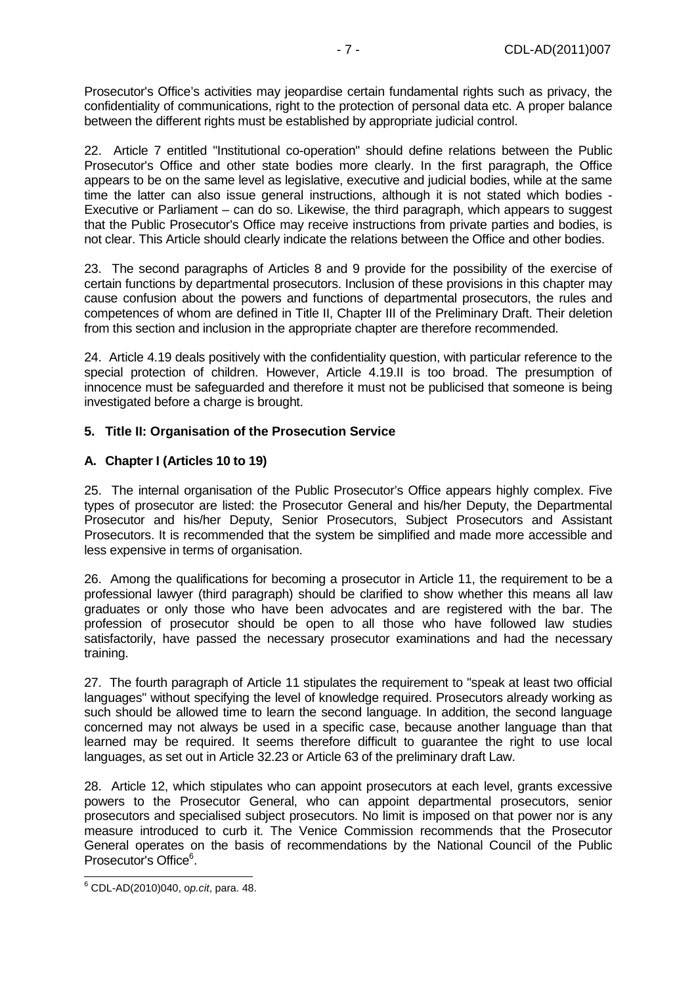Prosecutor's Office's activities may jeopardise certain fundamental rights such as privacy, the confidentiality of communications, right to the protection of personal data etc. A proper balance between the different rights must be established by appropriate judicial control.

22. Article 7 entitled "Institutional co-operation" should define relations between the Public Prosecutor's Office and other state bodies more clearly. In the first paragraph, the Office appears to be on the same level as legislative, executive and judicial bodies, while at the same time the latter can also issue general instructions, although it is not stated which bodies - Executive or Parliament – can do so. Likewise, the third paragraph, which appears to suggest that the Public Prosecutor's Office may receive instructions from private parties and bodies, is not clear. This Article should clearly indicate the relations between the Office and other bodies.

23. The second paragraphs of Articles 8 and 9 provide for the possibility of the exercise of certain functions by departmental prosecutors. Inclusion of these provisions in this chapter may cause confusion about the powers and functions of departmental prosecutors, the rules and competences of whom are defined in Title II, Chapter III of the Preliminary Draft. Their deletion from this section and inclusion in the appropriate chapter are therefore recommended.

24. Article 4.19 deals positively with the confidentiality question, with particular reference to the special protection of children. However, Article 4.19.II is too broad. The presumption of innocence must be safeguarded and therefore it must not be publicised that someone is being investigated before a charge is brought.

## **5. Title II: Organisation of the Prosecution Service**

## **A. Chapter I (Articles 10 to 19)**

25. The internal organisation of the Public Prosecutor's Office appears highly complex. Five types of prosecutor are listed: the Prosecutor General and his/her Deputy, the Departmental Prosecutor and his/her Deputy, Senior Prosecutors, Subject Prosecutors and Assistant Prosecutors. It is recommended that the system be simplified and made more accessible and less expensive in terms of organisation.

26. Among the qualifications for becoming a prosecutor in Article 11, the requirement to be a professional lawyer (third paragraph) should be clarified to show whether this means all law graduates or only those who have been advocates and are registered with the bar. The profession of prosecutor should be open to all those who have followed law studies satisfactorily, have passed the necessary prosecutor examinations and had the necessary training.

27. The fourth paragraph of Article 11 stipulates the requirement to "speak at least two official languages" without specifying the level of knowledge required. Prosecutors already working as such should be allowed time to learn the second language. In addition, the second language concerned may not always be used in a specific case, because another language than that learned may be required. It seems therefore difficult to guarantee the right to use local languages, as set out in Article 32.23 or Article 63 of the preliminary draft Law.

28. Article 12, which stipulates who can appoint prosecutors at each level, grants excessive powers to the Prosecutor General, who can appoint departmental prosecutors, senior prosecutors and specialised subject prosecutors. No limit is imposed on that power nor is any measure introduced to curb it. The Venice Commission recommends that the Prosecutor General operates on the basis of recommendations by the National Council of the Public Prosecutor's Office<sup>6</sup>.

 6 CDL-AD(2010)040, op.cit, para. 48.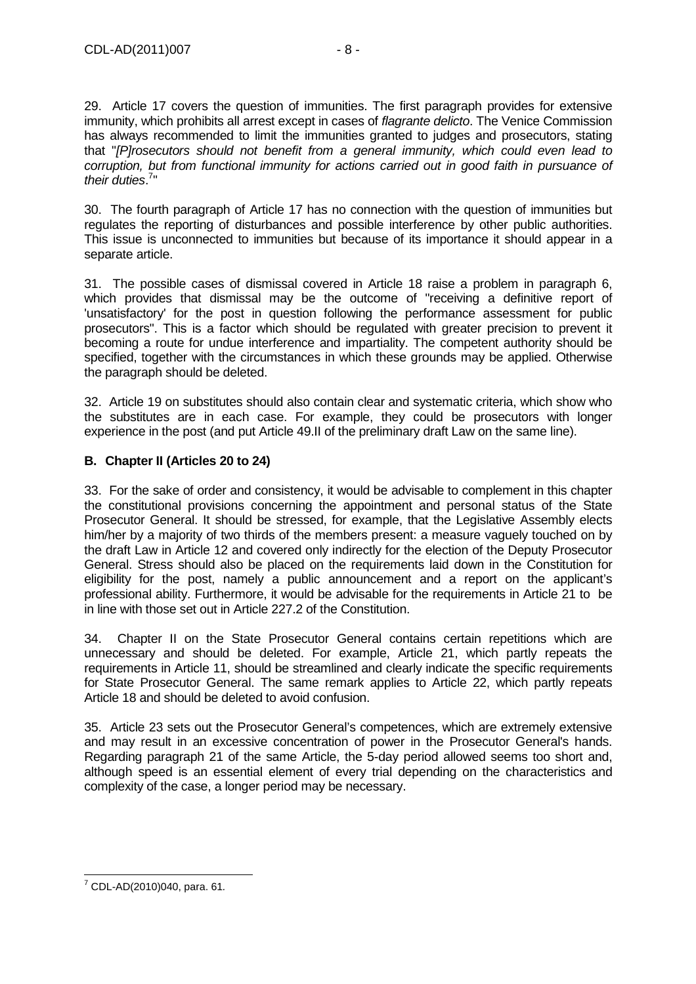29. Article 17 covers the question of immunities. The first paragraph provides for extensive immunity, which prohibits all arrest except in cases of flagrante delicto. The Venice Commission has always recommended to limit the immunities granted to judges and prosecutors, stating that "[P]rosecutors should not benefit from a general immunity, which could even lead to corruption, but from functional immunity for actions carried out in good faith in pursuance of their duties.<sup>7</sup>"

30. The fourth paragraph of Article 17 has no connection with the question of immunities but regulates the reporting of disturbances and possible interference by other public authorities. This issue is unconnected to immunities but because of its importance it should appear in a separate article.

31. The possible cases of dismissal covered in Article 18 raise a problem in paragraph 6, which provides that dismissal may be the outcome of "receiving a definitive report of 'unsatisfactory' for the post in question following the performance assessment for public prosecutors". This is a factor which should be regulated with greater precision to prevent it becoming a route for undue interference and impartiality. The competent authority should be specified, together with the circumstances in which these grounds may be applied. Otherwise the paragraph should be deleted.

32. Article 19 on substitutes should also contain clear and systematic criteria, which show who the substitutes are in each case. For example, they could be prosecutors with longer experience in the post (and put Article 49.II of the preliminary draft Law on the same line).

## **B. Chapter II (Articles 20 to 24)**

33. For the sake of order and consistency, it would be advisable to complement in this chapter the constitutional provisions concerning the appointment and personal status of the State Prosecutor General. It should be stressed, for example, that the Legislative Assembly elects him/her by a majority of two thirds of the members present: a measure vaguely touched on by the draft Law in Article 12 and covered only indirectly for the election of the Deputy Prosecutor General. Stress should also be placed on the requirements laid down in the Constitution for eligibility for the post, namely a public announcement and a report on the applicant's professional ability. Furthermore, it would be advisable for the requirements in Article 21 to be in line with those set out in Article 227.2 of the Constitution.

34. Chapter II on the State Prosecutor General contains certain repetitions which are unnecessary and should be deleted. For example, Article 21, which partly repeats the requirements in Article 11, should be streamlined and clearly indicate the specific requirements for State Prosecutor General. The same remark applies to Article 22, which partly repeats Article 18 and should be deleted to avoid confusion.

35. Article 23 sets out the Prosecutor General's competences, which are extremely extensive and may result in an excessive concentration of power in the Prosecutor General's hands. Regarding paragraph 21 of the same Article, the 5-day period allowed seems too short and, although speed is an essential element of every trial depending on the characteristics and complexity of the case, a longer period may be necessary.

 7 CDL-AD(2010)040, para. 61.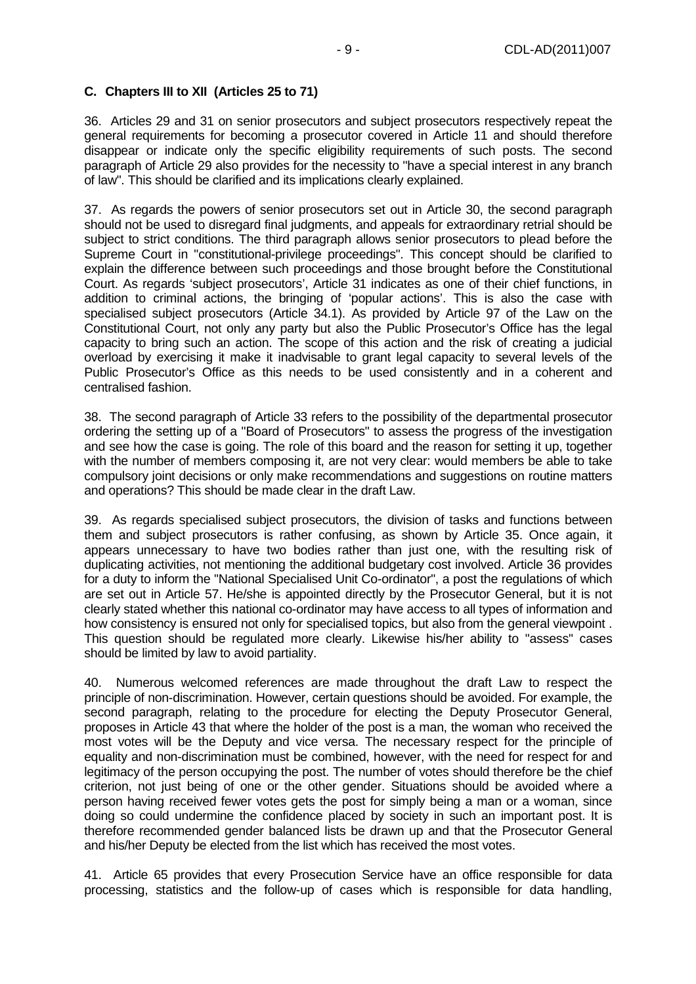## **C. Chapters III to XII (Articles 25 to 71)**

36. Articles 29 and 31 on senior prosecutors and subject prosecutors respectively repeat the general requirements for becoming a prosecutor covered in Article 11 and should therefore disappear or indicate only the specific eligibility requirements of such posts. The second paragraph of Article 29 also provides for the necessity to "have a special interest in any branch of law". This should be clarified and its implications clearly explained.

37. As regards the powers of senior prosecutors set out in Article 30, the second paragraph should not be used to disregard final judgments, and appeals for extraordinary retrial should be subject to strict conditions. The third paragraph allows senior prosecutors to plead before the Supreme Court in "constitutional-privilege proceedings". This concept should be clarified to explain the difference between such proceedings and those brought before the Constitutional Court. As regards 'subject prosecutors', Article 31 indicates as one of their chief functions, in addition to criminal actions, the bringing of 'popular actions'. This is also the case with specialised subject prosecutors (Article 34.1). As provided by Article 97 of the Law on the Constitutional Court, not only any party but also the Public Prosecutor's Office has the legal capacity to bring such an action. The scope of this action and the risk of creating a judicial overload by exercising it make it inadvisable to grant legal capacity to several levels of the Public Prosecutor's Office as this needs to be used consistently and in a coherent and centralised fashion.

38. The second paragraph of Article 33 refers to the possibility of the departmental prosecutor ordering the setting up of a "Board of Prosecutors" to assess the progress of the investigation and see how the case is going. The role of this board and the reason for setting it up, together with the number of members composing it, are not very clear: would members be able to take compulsory joint decisions or only make recommendations and suggestions on routine matters and operations? This should be made clear in the draft Law.

39. As regards specialised subject prosecutors, the division of tasks and functions between them and subject prosecutors is rather confusing, as shown by Article 35. Once again, it appears unnecessary to have two bodies rather than just one, with the resulting risk of duplicating activities, not mentioning the additional budgetary cost involved. Article 36 provides for a duty to inform the "National Specialised Unit Co-ordinator", a post the regulations of which are set out in Article 57. He/she is appointed directly by the Prosecutor General, but it is not clearly stated whether this national co-ordinator may have access to all types of information and how consistency is ensured not only for specialised topics, but also from the general viewpoint . This question should be regulated more clearly. Likewise his/her ability to "assess" cases should be limited by law to avoid partiality.

40. Numerous welcomed references are made throughout the draft Law to respect the principle of non-discrimination. However, certain questions should be avoided. For example, the second paragraph, relating to the procedure for electing the Deputy Prosecutor General, proposes in Article 43 that where the holder of the post is a man, the woman who received the most votes will be the Deputy and vice versa. The necessary respect for the principle of equality and non-discrimination must be combined, however, with the need for respect for and legitimacy of the person occupying the post. The number of votes should therefore be the chief criterion, not just being of one or the other gender. Situations should be avoided where a person having received fewer votes gets the post for simply being a man or a woman, since doing so could undermine the confidence placed by society in such an important post. It is therefore recommended gender balanced lists be drawn up and that the Prosecutor General and his/her Deputy be elected from the list which has received the most votes.

41. Article 65 provides that every Prosecution Service have an office responsible for data processing, statistics and the follow-up of cases which is responsible for data handling,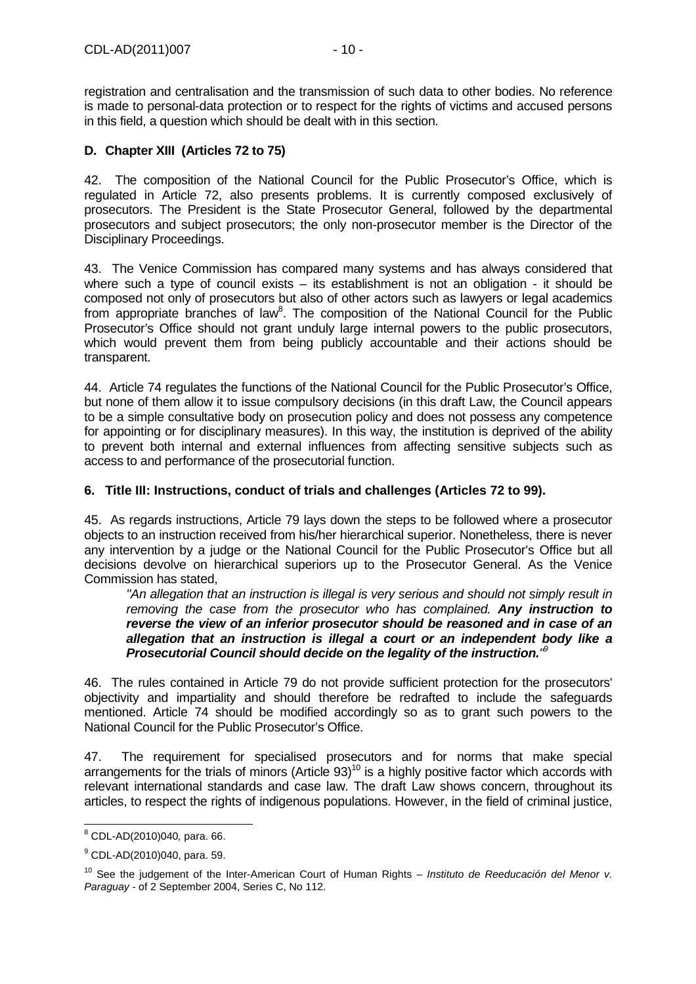registration and centralisation and the transmission of such data to other bodies. No reference is made to personal-data protection or to respect for the rights of victims and accused persons in this field, a question which should be dealt with in this section.

## **D. Chapter XIII (Articles 72 to 75)**

42. The composition of the National Council for the Public Prosecutor's Office, which is regulated in Article 72, also presents problems. It is currently composed exclusively of prosecutors. The President is the State Prosecutor General, followed by the departmental prosecutors and subject prosecutors; the only non-prosecutor member is the Director of the Disciplinary Proceedings.

43. The Venice Commission has compared many systems and has always considered that where such a type of council exists – its establishment is not an obligation - it should be composed not only of prosecutors but also of other actors such as lawyers or legal academics from appropriate branches of law<sup>8</sup>. The composition of the National Council for the Public Prosecutor's Office should not grant unduly large internal powers to the public prosecutors, which would prevent them from being publicly accountable and their actions should be transparent.

44. Article 74 regulates the functions of the National Council for the Public Prosecutor's Office, but none of them allow it to issue compulsory decisions (in this draft Law, the Council appears to be a simple consultative body on prosecution policy and does not possess any competence for appointing or for disciplinary measures). In this way, the institution is deprived of the ability to prevent both internal and external influences from affecting sensitive subjects such as access to and performance of the prosecutorial function.

## **6. Title III: Instructions, conduct of trials and challenges (Articles 72 to 99).**

45. As regards instructions, Article 79 lays down the steps to be followed where a prosecutor objects to an instruction received from his/her hierarchical superior. Nonetheless, there is never any intervention by a judge or the National Council for the Public Prosecutor's Office but all decisions devolve on hierarchical superiors up to the Prosecutor General. As the Venice Commission has stated,

"An allegation that an instruction is illegal is very serious and should not simply result in removing the case from the prosecutor who has complained. **Any instruction to reverse the view of an inferior prosecutor should be reasoned and in case of an allegation that an instruction is illegal a court or an independent body like a Prosecutorial Council should decide on the legality of the instruction.**" 9

46. The rules contained in Article 79 do not provide sufficient protection for the prosecutors' objectivity and impartiality and should therefore be redrafted to include the safeguards mentioned. Article 74 should be modified accordingly so as to grant such powers to the National Council for the Public Prosecutor's Office.

47. The requirement for specialised prosecutors and for norms that make special arrangements for the trials of minors (Article  $93)^{10}$  is a highly positive factor which accords with relevant international standards and case law. The draft Law shows concern, throughout its articles, to respect the rights of indigenous populations. However, in the field of criminal justice,

 $\overline{a}$ 8 CDL-AD(2010)040, para. 66.

<sup>&</sup>lt;sup>9</sup> CDL-AD(2010)040, para. 59.

 $10$  See the judgement of the Inter-American Court of Human Rights – Instituto de Reeducación del Menor v. Paraguay - of 2 September 2004, Series C, No 112.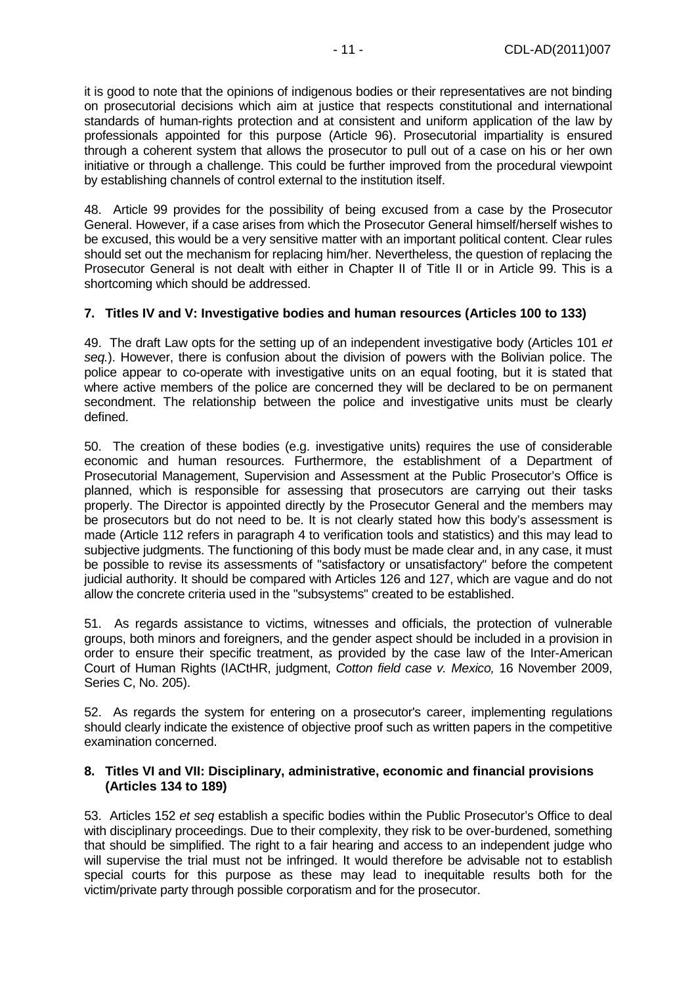it is good to note that the opinions of indigenous bodies or their representatives are not binding on prosecutorial decisions which aim at justice that respects constitutional and international standards of human-rights protection and at consistent and uniform application of the law by professionals appointed for this purpose (Article 96). Prosecutorial impartiality is ensured through a coherent system that allows the prosecutor to pull out of a case on his or her own initiative or through a challenge. This could be further improved from the procedural viewpoint by establishing channels of control external to the institution itself.

48. Article 99 provides for the possibility of being excused from a case by the Prosecutor General. However, if a case arises from which the Prosecutor General himself/herself wishes to be excused, this would be a very sensitive matter with an important political content. Clear rules should set out the mechanism for replacing him/her. Nevertheless, the question of replacing the Prosecutor General is not dealt with either in Chapter II of Title II or in Article 99. This is a shortcoming which should be addressed.

## **7. Titles IV and V: Investigative bodies and human resources (Articles 100 to 133)**

49. The draft Law opts for the setting up of an independent investigative body (Articles 101 et seq.). However, there is confusion about the division of powers with the Bolivian police. The police appear to co-operate with investigative units on an equal footing, but it is stated that where active members of the police are concerned they will be declared to be on permanent secondment. The relationship between the police and investigative units must be clearly defined.

50. The creation of these bodies (e.g. investigative units) requires the use of considerable economic and human resources. Furthermore, the establishment of a Department of Prosecutorial Management, Supervision and Assessment at the Public Prosecutor's Office is planned, which is responsible for assessing that prosecutors are carrying out their tasks properly. The Director is appointed directly by the Prosecutor General and the members may be prosecutors but do not need to be. It is not clearly stated how this body's assessment is made (Article 112 refers in paragraph 4 to verification tools and statistics) and this may lead to subjective judgments. The functioning of this body must be made clear and, in any case, it must be possible to revise its assessments of "satisfactory or unsatisfactory" before the competent judicial authority. It should be compared with Articles 126 and 127, which are vague and do not allow the concrete criteria used in the "subsystems" created to be established.

51. As regards assistance to victims, witnesses and officials, the protection of vulnerable groups, both minors and foreigners, and the gender aspect should be included in a provision in order to ensure their specific treatment, as provided by the case law of the Inter-American Court of Human Rights (IACtHR, judgment, Cotton field case v. Mexico, 16 November 2009, Series C, No. 205).

52. As regards the system for entering on a prosecutor's career, implementing regulations should clearly indicate the existence of objective proof such as written papers in the competitive examination concerned.

#### **8. Titles VI and VII: Disciplinary, administrative, economic and financial provisions (Articles 134 to 189)**

53. Articles 152 et seq establish a specific bodies within the Public Prosecutor's Office to deal with disciplinary proceedings. Due to their complexity, they risk to be over-burdened, something that should be simplified. The right to a fair hearing and access to an independent judge who will supervise the trial must not be infringed. It would therefore be advisable not to establish special courts for this purpose as these may lead to inequitable results both for the victim/private party through possible corporatism and for the prosecutor.